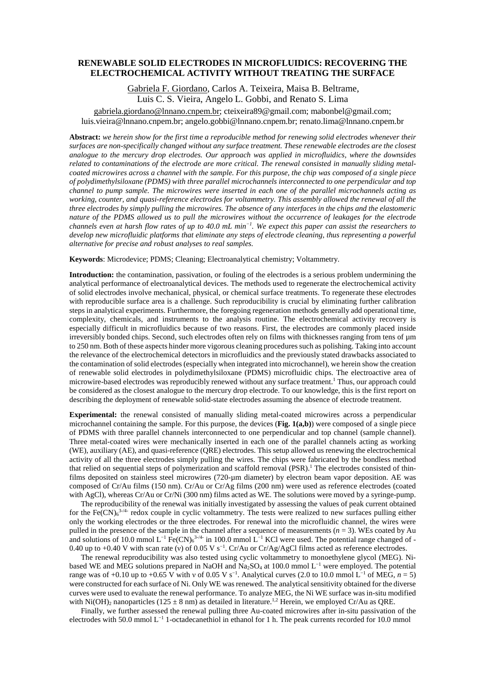## **RENEWABLE SOLID ELECTRODES IN MICROFLUIDICS: RECOVERING THE ELECTROCHEMICAL ACTIVITY WITHOUT TREATING THE SURFACE**

## Gabriela F. Giordano, Carlos A. Teixeira, Maisa B. Beltrame, Luis C. S. Vieira, Angelo L. Gobbi, and Renato S. Lima

gabriela.giordano@lnnano.cnpem.br; cteixeira89@gmail.com; mabonbel@gmail.com; luis.vieira@lnnano.cnpem.br; angelo.gobbi@lnnano.cnpem.br; renato.lima@lnnano.cnpem.br

**Abstract:** *we herein show for the first time a reproducible method for renewing solid electrodes whenever their surfaces are non-specifically changed without any surface treatment. These renewable electrodes are the closest analogue to the mercury drop electrodes. Our approach was applied in microfluidics, where the downsides related to contaminations of the electrode are more critical. The renewal consisted in manually sliding metalcoated microwires across a channel with the sample. For this purpose, the chip was composed of a single piece of polydimethylsiloxane (PDMS) with three parallel microchannels interconnected to one perpendicular and top channel to pump sample. The microwires were inserted in each one of the parallel microchannels acting as working, counter, and quasi-reference electrodes for voltammetry. This assembly allowed the renewal of all the three electrodes by simply pulling the microwires. The absence of any interfaces in the chips and the elastomeric nature of the PDMS allowed us to pull the microwires without the occurrence of leakages for the electrode channels even at harsh flow rates of up to 40.0 mL min −1. We expect this paper can assist the researchers to develop new microfluidic platforms that eliminate any steps of electrode cleaning, thus representing a powerful alternative for precise and robust analyses to real samples.*

**Keywords**: Microdevice; PDMS; Cleaning; Electroanalytical chemistry; Voltammetry.

**Introduction:** the contamination, passivation, or fouling of the electrodes is a serious problem undermining the analytical performance of electroanalytical devices. The methods used to regenerate the electrochemical activity of solid electrodes involve mechanical, physical, or chemical surface treatments. To regenerate these electrodes with reproducible surface area is a challenge. Such reproducibility is crucial by eliminating further calibration steps in analytical experiments. Furthermore, the foregoing regeneration methods generally add operational time, complexity, chemicals, and instruments to the analysis routine. The electrochemical activity recovery is especially difficult in microfluidics because of two reasons. First, the electrodes are commonly placed inside irreversibly bonded chips. Second, such electrodes often rely on films with thicknesses ranging from tens of µm to 250 nm. Both of these aspects hinder more vigorous cleaning procedures such as polishing. Taking into account the relevance of the electrochemical detectors in microfluidics and the previously stated drawbacks associated to the contamination of solid electrodes (especially when integrated into microchannel), we herein show the creation of renewable solid electrodes in polydimethylsiloxane (PDMS) microfluidic chips. The electroactive area of microwire-based electrodes was reproducibly renewed without any surface treatment.<sup>1</sup> Thus, our approach could be considered as the closest analogue to the mercury drop electrode. To our knowledge, this is the first report on describing the deployment of renewable solid-state electrodes assuming the absence of electrode treatment.

**Experimental:** the renewal consisted of manually sliding metal-coated microwires across a perpendicular microchannel containing the sample. For this purpose, the devices (**Fig. 1(a,b)**) were composed of a single piece of PDMS with three parallel channels interconnected to one perpendicular and top channel (sample channel). Three metal-coated wires were mechanically inserted in each one of the parallel channels acting as working (WE), auxiliary (AE), and quasi-reference (QRE) electrodes. This setup allowed us renewing the electrochemical activity of all the three electrodes simply pulling the wires. The chips were fabricated by the bondless method that relied on sequential steps of polymerization and scaffold removal  $(PSR)$ .<sup>1</sup> The electrodes consisted of thinfilms deposited on stainless steel microwires (720-µm diameter) by electron beam vapor deposition. AE was composed of Cr/Au films (150 nm). Cr/Au or Cr/Ag films (200 nm) were used as reference electrodes (coated with AgCl), whereas Cr/Au or Cr/Ni (300 nm) films acted as WE. The solutions were moved by a syringe-pump.

The reproducibility of the renewal was initially investigated by assessing the values of peak current obtained for the Fe(CN) $_6^{3-4}$ - redox couple in cyclic voltammetry. The tests were realized to new surfaces pulling either only the working electrodes or the three electrodes. For renewal into the microfluidic channel, the wires were pulled in the presence of the sample in the channel after a sequence of measurements  $(n = 3)$ . WEs coated by Au and solutions of 10.0 mmol  $L^{-1}$  Fe(CN) $_6^{3-/4}$  in 100.0 mmol  $L^{-1}$  KCl were used. The potential range changed of -0.40 up to +0.40 V with scan rate (v) of 0.05 V s<sup>-1</sup>. Cr/Au or Cr/Ag/AgCl films acted as reference electrodes.

The renewal reproducibility was also tested using cyclic voltammetry to monoethylene glycol (MEG). Nibased WE and MEG solutions prepared in NaOH and Na2SO4 at 100.0 mmol L−1 were employed. The potential range was of +0.10 up to +0.65 V with v of 0.05 V s<sup>-1</sup>. Analytical curves (2.0 to 10.0 mmol L<sup>-1</sup> of MEG,  $n = 5$ ) were constructed for each surface of Ni. Only WE was renewed. The analytical sensitivity obtained for the diverse curves were used to evaluate the renewal performance. To analyze MEG, the Ni WE surface was in-situ modified with Ni(OH)<sub>2</sub> nanoparticles (125  $\pm$  8 nm) as detailed in literature.<sup>1,2</sup> Herein, we employed Cr/Au as QRE.

Finally, we further assessed the renewal pulling three Au-coated microwires after in-situ passivation of the electrodes with 50.0 mmol L−1 1-octadecanethiol in ethanol for 1 h. The peak currents recorded for 10.0 mmol